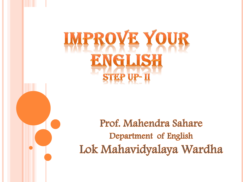# **IMPROVE YOUR** VGLISH

### Prof. Mahendra Sahare Department of English Lok Mahavidyalaya Wardha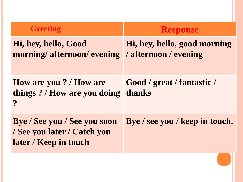| <b>Greeting</b>                                                                             | <b>Response</b>                      |
|---------------------------------------------------------------------------------------------|--------------------------------------|
| Hi, hey, hello, Good<br>morning/afternoon/evening /afternoon/evening                        | Hi, hey, hello, good morning         |
| How are you? / How are<br>things? / How are you doing<br>$\boldsymbol{\gamma}$              | Good / great / fantastic /<br>thanks |
| <b>Bye</b> / See you / See you soon<br>/ See you later / Catch you<br>later / Keep in touch | Bye / see you / keep in touch.       |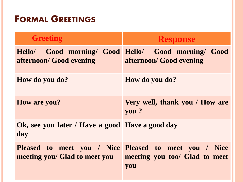#### FORMAL GREETINGS

| <b>Greeting</b>                                        | <b>Response</b>                                                                               |
|--------------------------------------------------------|-----------------------------------------------------------------------------------------------|
| afternoon/ Good evening                                | Hello/ Good morning/ Good Hello/ Good morning/ Good<br>afternoon/ Good evening                |
| How do you do?                                         | How do you do?                                                                                |
| How are you?                                           | Very well, thank you / How are<br>you?                                                        |
| Ok, see you later / Have a good Have a good day<br>day |                                                                                               |
| meeting you/ Glad to meet you                          | Pleased to meet you / Nice Pleased to meet you / Nice<br>meeting you too/ Glad to meet<br>you |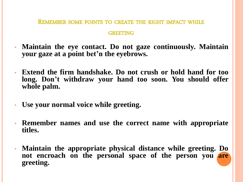REMEMBER SOME POINTS TO CREATE THE RIGHT IMPACT WHILE

#### **GREETING**

- **Maintain the eye contact. Do not gaze continuously. Maintain your gaze at a point bet'n the eyebrows.**
- **Extend the firm handshake. Do not crush or hold hand for too long. Don't withdraw your hand too soon. You should offer whole palm.**
- **Use your normal voice while greeting.**
- **Remember names and use the correct name with appropriate titles.**
- **Maintain the appropriate physical distance while greeting. Do not encroach on the personal space of the person you are greeting.**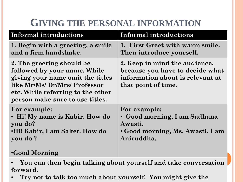#### **GIVING THE PERSONAL INFORMATION**

| 1. First Greet with warm smile.<br>Then introduce yourself.                                                                 |
|-----------------------------------------------------------------------------------------------------------------------------|
|                                                                                                                             |
| 2. Keep in mind the audience,<br>because you have to decide what<br>information about is relevant at<br>that point of time. |
| For example:<br>• Good morning, I am Sadhana<br>Awasti.<br>• Good morning, Ms. Awasti. I am<br>Aniruddha.                   |
|                                                                                                                             |

• **You can then begin talking about yourself and take conversation forward.** 

• **Try not to talk too much about yourself. You might give the**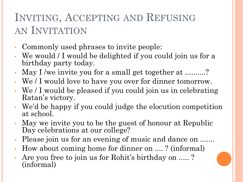### INVITING, ACCEPTING AND REFUSING AN INVITATION

- Commonly used phrases to invite people:
- We would / I would be delighted if you could join us for a birthday party today.
- May I /we invite you for a small get together at ..........?
- We / I would love to have you over for dinner tomorrow.
- We / I would be pleased if you could join us in celebrating Ratan's victory.
- We'd be happy if you could judge the elocution competition at school.
- May we invite you to be the guest of honour at Republic Day celebrations at our college?
- Please join us for an evening of music and dance on .......
- How about coming home for dinner on .... ? (informal)
- Are you free to join us for Rohit's birthday on ..... ? (informal)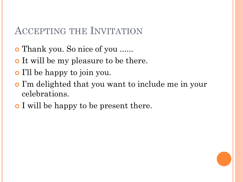#### ACCEPTING THE INVITATION

- Thank you. So nice of you ......
- It will be my pleasure to be there.
- I'll be happy to join you.
- I'm delighted that you want to include me in your celebrations.
- **o** I will be happy to be present there.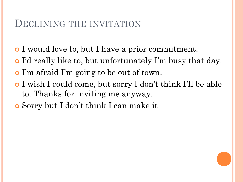#### DECLINING THE INVITATION

- I would love to, but I have a prior commitment.
- I'd really like to, but unfortunately I'm busy that day.
- I'm afraid I'm going to be out of town.
- I wish I could come, but sorry I don't think I'll be able to. Thanks for inviting me anyway.
- Sorry but I don't think I can make it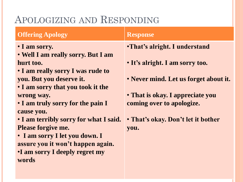#### APOLOGIZING AND RESPONDING

#### **Offering Apology Response** • **I am sorry.** • **Well I am really sorry. But I am hurt too.** • **I am really sorry I was rude to you. But you deserve it.** • **I am sorry that you took it the wrong way.** • **I am truly sorry for the pain I cause you.**

• **I am terribly sorry for what I said. Please forgive me.**

• **I am sorry I let you down. I assure you it won't happen again.** •**I am sorry I deeply regret my words**

- •**That's alright. I understand**
- **It's alright. I am sorry too.**
- **Never mind. Let us forget about it.**
- **That is okay. I appreciate you coming over to apologize.**
- **That's okay. Don't let it bother you.**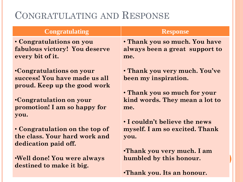#### CONGRATULATING AND RESPONSE

| <b>Congratulating</b>                                                 | <b>Response</b>                       |
|-----------------------------------------------------------------------|---------------------------------------|
| • Congratulations on you                                              | • Thank you so much. You have         |
| fabulous victory! You deserve                                         | always been a great support to        |
| every bit of it.                                                      | me.                                   |
| <b>•Congratulations on your</b>                                       | • Thank you very much. You've         |
| success! You have made us all                                         | been my inspiration.                  |
| proud. Keep up the good work                                          | • Thank you so much for your          |
| <b>Congratulation on your</b><br>promotion! I am so happy for<br>you. | kind words. They mean a lot to<br>me. |
| • Congratulation on the top of                                        | • I couldn't believe the news         |
| the class. Your hard work and                                         | myself. I am so excited. Thank        |
| dedication paid off.                                                  | you.                                  |
| <b>•Well done! You were always</b>                                    | <b>•Thank you very much.</b> I am     |
| destined to make it big.                                              | humbled by this honour.               |

•**Thank you. Its an honour.**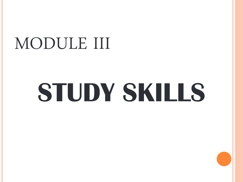## MODULE III

# **STUDY SKILLS**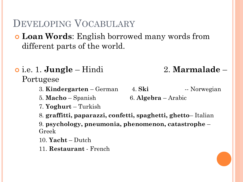#### DEVELOPING VOCABULARY

- **Loan Words**: English borrowed many words from different parts of the world.
- i.e. 1. **Jungle** Hindi 2. **Marmalade** Portugese
	- 3. **Kindergarten** German 4. **Ski** -- Norwegian
	- 5. **Macho** Spanish 6. **Algebra**  Arabic
	- 7. **Yoghurt** Turkish
	- 8. **graffitti, paparazzi, confetti, spaghetti, ghetto** Italian

9. **psychology, pneumonia, phenomenon, catastrophe** – Greek

- 10. **Yacht** Dutch
- 11. **Restaurant**  French

- 
-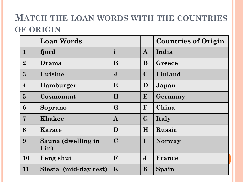#### **MATCH THE LOAN WORDS WITH THE COUNTRIES OF ORIGIN**

|                 | <b>Loan Words</b>          |              |              | <b>Countries of Origin</b> |
|-----------------|----------------------------|--------------|--------------|----------------------------|
| $\mathbf{1}$    | fjord                      | $\mathbf{i}$ | $\mathbf{A}$ | India                      |
| $\overline{2}$  | Drama                      | B            | B            | Greece                     |
| $3\overline{)}$ | Cuisine                    | $\bf J$      | $\mathbf C$  | Finland                    |
| $\overline{4}$  | Hamburger                  | E            | D            | Japan                      |
| $5\overline{)}$ | Cosmonaut                  | H            | E            | Germany                    |
| 6               | Soprano                    | $\mathbf G$  | F            | China                      |
| $\overline{7}$  | <b>Khakee</b>              | $\bf{A}$     | $\mathbf{G}$ | Italy                      |
| 8               | Karate                     | D            | H            | Russia                     |
| 9               | Sauna (dwelling in<br>Fin) | $\mathbf C$  | $\mathbf I$  | <b>Norway</b>              |
| 10              | Feng shui                  | F            | $\mathbf{J}$ | France                     |
| 11              | Siesta (mid-day rest)      | K            | $\mathbf K$  | Spain                      |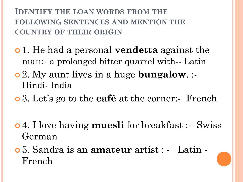#### **IDENTIFY THE LOAN WORDS FROM THE FOLLOWING SENTENCES AND MENTION THE COUNTRY OF THEIR ORIGIN**

- 1. He had a personal **vendetta** against the man:- a prolonged bitter quarrel with-- Latin
- 2. My aunt lives in a huge **bungalow**. :- Hindi- India
- 3. Let's go to the **café** at the corner:- French
- 4. I love having **muesli** for breakfast :- Swiss German
- 5. Sandra is an **amateur** artist : Latin French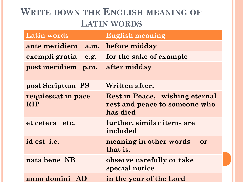#### **WRITE DOWN THE ENGLISH MEANING OF LATIN WORDS**

| <b>Latin words</b>               | <b>English meaning</b>                                                             |
|----------------------------------|------------------------------------------------------------------------------------|
| ante meridiem a.m.               | before midday                                                                      |
| exempli gratia<br>e.g.           | for the sake of example                                                            |
| post meridiem p.m.               | after midday                                                                       |
| post Scriptum PS                 | Written after.                                                                     |
| requiescat in pace<br><b>RIP</b> | <b>Rest in Peace, wishing eternal</b><br>rest and peace to someone who<br>has died |
| et cetera<br>etc.                | further, similar items are<br>included                                             |
| id est <i>i.e.</i>               | meaning in other words<br>or<br>that is.                                           |
| nata bene NB                     | observe carefully or take<br>special notice                                        |
| anno domini<br>AD                | in the year of the Lord                                                            |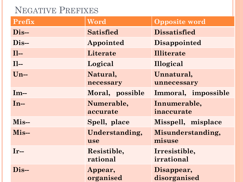#### NEGATIVE PREFIXES

| <b>Prefix</b> | Word                    | <b>Opposite word</b>        |
|---------------|-------------------------|-----------------------------|
| Dis-          | <b>Satisfied</b>        | <b>Dissatisfied</b>         |
| $Dis$ --      | Appointed               | <b>Disappointed</b>         |
| $II-$         | Literate                | <b>Illiterate</b>           |
| $II-$         | Logical                 | Illogical                   |
| $Un-$         | Natural,<br>necessary   | Unnatural,<br>unnecessary   |
| $Im-$         | Moral, possible         | Immoral, impossible         |
| $In-$         | Numerable,<br>accurate  | Innumerable,<br>inaccurate  |
| $Mis-$        | Spell, place            | Misspell, misplace          |
| Mis-          | Understanding,<br>use   | Misunderstanding,<br>misuse |
| $Ir-$         | Resistible,<br>rational | Irresistible,<br>irrational |
| $Dis-$        | Appear,<br>organised    | Disappear,<br>disorganised  |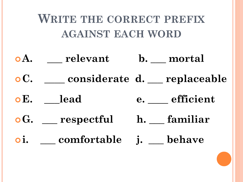## **WRITE THE CORRECT PREFIX AGAINST EACH WORD A. \_\_\_ relevant b. \_\_\_ mortal C. \_\_\_\_ considerate d. \_\_\_ replaceable E. \_\_\_lead e. \_\_\_\_ efficient G. \_\_\_ respectful h. \_\_\_ familiar i. \_\_\_ comfortable j. \_\_\_ behave**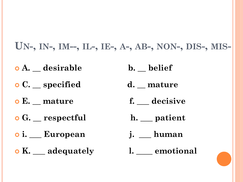**UN-, IN-, IM--, IL-, IE-, A-, AB-, NON-, DIS-, MIS-**

- **o** A. <u>esirable</u> b. belief
- **C. \_\_ specified d. \_\_ mature**
- **e** E. <u>mature</u> f. decisive
- **o** G. <u>espectful</u> h. <u>patient</u>
- **i. \_\_\_ European j. \_\_\_ human**
- **K. \_\_\_ adequately l. \_\_\_\_ emotional**
- 
- 
- 
-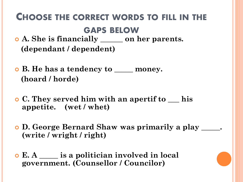#### CHOOSE THE CORRECT WORDS TO FILL IN THE GAPS BELOW

- **A. She is financially \_\_\_\_\_\_ on her parents. (dependant / dependent)**
- **B. He has a tendency to \_\_\_\_\_ money. (hoard / horde)**
- **C. They served him with an apertif to \_\_\_ his appetite. (wet / whet)**
- **D. George Bernard Shaw was primarily a play \_\_\_\_\_. (write / wright / right)**
- **E. A \_\_\_\_\_ is a politician involved in local government. (Counsellor / Councilor)**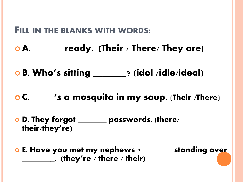#### FILL IN THE BLANKS WITH WORDS:

- o A. \_\_\_\_\_\_ ready. (Their / There/ They are)
- o B. Who's sitting \_\_\_\_\_\_\_? (idol /idle/ideal)
- o C. \_\_\_\_ 's a mosquito in my soup. (Their /There)
- o D. They forgot \_\_\_\_\_\_\_ passwords. (there/ their/they're)
- o E. Have you met my nephews ? \_\_\_\_\_\_ standing over  $\rule{1em}{0.15mm}$  (they're / there / their)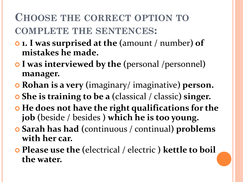### **CHOOSE THE CORRECT OPTION TO COMPLETE THE SENTENCES:**

- **1. I was surprised at the (**amount / number**) of mistakes he made.**
- **I was interviewed by the (**personal /personnel**) manager.**
- **Rohan is a very (**imaginary/ imaginative**) person.**
- **She is training to be a (**classical / classic**) singer.**
- $\bullet$  **He does not have the right qualifications for the job (**beside / besides **) which he is too young.**
- **Sarah has had (**continuous / continual**) problems with her car.**
- **Please use the (**electrical / electric **) kettle to boil the water.**